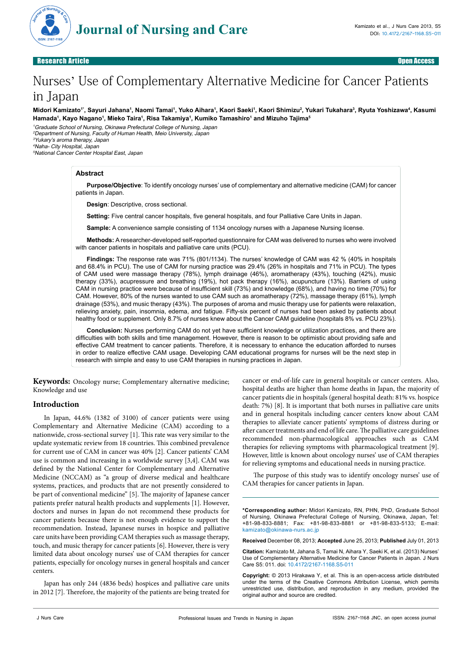

# Research Article Open Access

# Nurses' Use of Complementary Alternative Medicine for Cancer Patients in Japan

Midori Kamizato'', Sayuri Jahana<sup>1</sup>, Naomi Tamai', Yuko Aihara', Kaori Saeki', Kaori Shimizu<sup>2</sup>, Yukari Tukahara<sup>3</sup>, Ryuta Yoshizawa<del>'</del>, Kasumi **Hamada1 , Kayo Nagano1 , Mieko Taira1 , Risa Takamiya1 , Kumiko Tamashiro1 and Mizuho Tajima5**

Graduate School of Nursing, Okinawa Prefectural College of Nursing, Japan Department of Nursing, Faculty of Human Health, Meio University, Japan Yukary's aroma therapy, Japan Naha- City Hospital, Japan

<sup>5</sup>National Cancer Center Hospital East, Japan

# **Abstract**

**Purpose/Objective**: To identify oncology nurses' use of complementary and alternative medicine (CAM) for cancer patients in Japan.

**Design**: Descriptive, cross sectional.

**Setting:** Five central cancer hospitals, five general hospitals, and four Palliative Care Units in Japan.

**Sample:** A convenience sample consisting of 1134 oncology nurses with a Japanese Nursing license.

**Methods:** A researcher-developed self-reported questionnaire for CAM was delivered to nurses who were involved with cancer patients in hospitals and palliative care units (PCU).

**Findings:** The response rate was 71% (801/1134). The nurses' knowledge of CAM was 42 % (40% in hospitals and 68.4% in PCU). The use of CAM for nursing practice was 29.4% (26% in hospitals and 71% in PCU). The types of CAM used were massage therapy (78%), lymph drainage (46%), aromatherapy (43%), touching (42%), music therapy (33%), acupressure and breathing (19%), hot pack therapy (16%), acupuncture (13%). Barriers of using CAM in nursing practice were because of insufficient skill (73%) and knowledge (68%), and having no time (70%) for CAM. However, 80% of the nurses wanted to use CAM such as aromatherapy (72%), massage therapy (61%), lymph drainage (53%), and music therapy (43%). The purposes of aroma and music therapy use for patients were relaxation, relieving anxiety, pain, insomnia, edema, and fatigue. Fifty-six percent of nurses had been asked by patients about healthy food or supplement. Only 8.7% of nurses knew about the Cancer CAM guideline (hospitals 8% vs. PCU 23%).

**Conclusion:** Nurses performing CAM do not yet have sufficient knowledge or utilization practices, and there are difficulties with both skills and time management. However, there is reason to be optimistic about providing safe and effective CAM treatment to cancer patients. Therefore, it is necessary to enhance the education afforded to nurses in order to realize effective CAM usage. Developing CAM educational programs for nurses will be the next step in research with simple and easy to use CAM therapies in nursing practices in Japan.

**Keywords:** Oncology nurse; Complementary alternative medicine; Knowledge and use

# **Introduction**

In Japan, 44.6% (1382 of 3100) of cancer patients were using Complementary and Alternative Medicine (CAM) according to a nationwide, cross-sectional survey [1]. This rate was very similar to the update systematic review from 18 countries. This combined prevalence for current use of CAM in cancer was 40% [2]. Cancer patients' CAM use is common and increasing in a worldwide survey [3,4]. CAM was defined by the National Center for Complementary and Alternative Medicine (NCCAM) as "a group of diverse medical and healthcare systems, practices, and products that are not presently considered to be part of conventional medicine" [5]. The majority of Japanese cancer patients prefer natural health products and supplements [1]. However, doctors and nurses in Japan do not recommend these products for cancer patients because there is not enough evidence to support the recommendation. Instead, Japanese nurses in hospice and palliative care units have been providing CAM therapies such as massage therapy, touch, and music therapy for cancer patients [6]. However, there is very limited data about oncology nurses' use of CAM therapies for cancer patients, especially for oncology nurses in general hospitals and cancer centers.

Japan has only 244 (4836 beds) hospices and palliative care units in 2012 [7]. Therefore, the majority of the patients are being treated for cancer or end-of-life care in general hospitals or cancer centers. Also, hospital deaths are higher than home deaths in Japan, the majority of cancer patients die in hospitals (general hospital death: 81% vs. hospice death: 7%) [8]. It is important that both nurses in palliative care units and in general hospitals including cancer centers know about CAM therapies to alleviate cancer patients' symptoms of distress during or after cancer treatments and end of life care. The palliative care guidelines recommended non-pharmacological approaches such as CAM therapies for relieving symptoms with pharmacological treatment [9]. However, little is known about oncology nurses' use of CAM therapies for relieving symptoms and educational needs in nursing practice.

The purpose of this study was to identify oncology nurses' use of CAM therapies for cancer patients in Japan.

**\*Corresponding author:** Midori Kamizato, RN, PHN, PhD, Graduate School of Nursing, Okinawa Prefectural College of Nursing, Okinawa, Japan, Tel: +81-98-833-8881; Fax: +81-98-833-8881 or +81-98-833-5133; E-mail: kamizato@okinawa-nurs.ac.jp

**Received** December 08, 2013; **Accepted** June 25, 2013; **Published** July 01, 2013

**Citation:** Kamizato M, Jahana S, Tamai N, Aihara Y, Saeki K, et al. (2013) Nurses' Use of Complementary Alternative Medicine for Cancer Patients in Japan. J Nurs Care S5: 011. doi: 10.4172/2167-1168.S5-011

**Copyright:** © 2013 Hirakawa Y, et al. This is an open-access article distributed under the terms of the Creative Commons Attribution License, which permits unrestricted use, distribution, and reproduction in any medium, provided the original author and source are credited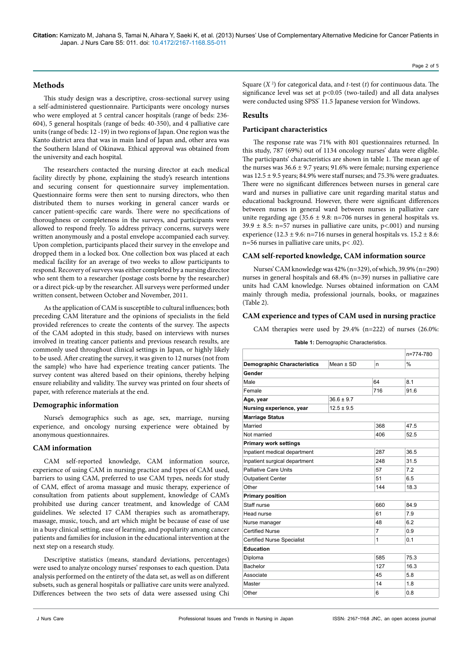**Citation:** Kamizato M, Jahana S, Tamai N, Aihara Y, Saeki K, et al. (2013) Nurses' Use of Complementary Alternative Medicine for Cancer Patients in Japan. J Nurs Care S5: 011. doi: 10.4172/2167-1168.S5-011

## Page 2 of 5

# **Methods**

This study design was a descriptive, cross-sectional survey using a self-administered questionnaire. Participants were oncology nurses who were employed at 5 central cancer hospitals (range of beds: 236- 604), 5 general hospitals (range of beds: 40-350), and 4 palliative care units (range of beds: 12 -19) in two regions of Japan. One region was the Kanto district area that was in main land of Japan and, other area was the Southern Island of Okinawa. Ethical approval was obtained from the university and each hospital.

The researchers contacted the nursing director at each medical facility directly by phone, explaining the study's research intentions and securing consent for questionnaire survey implementation. Questionnaire forms were then sent to nursing directors, who then distributed them to nurses working in general cancer wards or cancer patient-specific care wards. There were no specifications of thoroughness or completeness in the surveys, and participants were allowed to respond freely. To address privacy concerns, surveys were written anonymously and a postal envelope accompanied each survey. Upon completion, participants placed their survey in the envelope and dropped them in a locked box. One collection box was placed at each medical facility for an average of two weeks to allow participants to respond. Recovery of surveys was either completed by a nursing director who sent them to a researcher (postage costs borne by the researcher) or a direct pick-up by the researcher. All surveys were performed under written consent, between October and November, 2011.

As the application of CAM is susceptible to cultural influences; both preceding CAM literature and the opinions of specialists in the field provided references to create the contents of the survey. The aspects of the CAM adopted in this study, based on interviews with nurses involved in treating cancer patients and previous research results, are commonly used throughout clinical settings in Japan, or highly likely to be used. After creating the survey, it was given to 12 nurses (not from the sample) who have had experience treating cancer patients. The survey content was altered based on their opinions, thereby helping ensure reliability and validity. The survey was printed on four sheets of paper, with reference materials at the end.

## **Demographic information**

Nurse's demographics such as age, sex, marriage, nursing experience, and oncology nursing experience were obtained by anonymous questionnaires.

# **CAM information**

CAM self-reported knowledge, CAM information source, experience of using CAM in nursing practice and types of CAM used, barriers to using CAM, preferred to use CAM types, needs for study of CAM, effect of aroma massage and music therapy, experience of consultation from patients about supplement, knowledge of CAM's prohibited use during cancer treatment, and knowledge of CAM guidelines. We selected 17 CAM therapies such as aromatherapy, massage, music, touch, and art which might be because of ease of use in a busy clinical setting, ease of learning, and popularity among cancer patients and families for inclusion in the educational intervention at the next step on a research study.

Descriptive statistics (means, standard deviations, percentages) were used to analyze oncology nurses' responses to each question. Data analysis performed on the entirety of the data set, as well as on different subsets, such as general hospitals or palliative care units were analyzed. Differences between the two sets of data were assessed using Chi

## **Results**

#### **Participant characteristics**

The response rate was 71% with 801 questionnaires returned. In this study, 787 (69%) out of 1134 oncology nurses' data were eligible. The participants' characteristics are shown in table 1. The mean age of the nurses was  $36.6 \pm 9.7$  years; 91.6% were female; nursing experience was  $12.5 \pm 9.5$  years; 84.9% were staff nurses; and 75.3% were graduates. There were no significant differences between nurses in general care ward and nurses in palliative care unit regarding marital status and educational background. However, there were significant differences between nurses in general ward between nurses in palliative care unite regarding age  $(35.6 \pm 9.8)$ : n=706 nurses in general hospitals vs.  $39.9 \pm 8.5$ : n=57 nurses in palliative care units, p<.001) and nursing experience (12.3  $\pm$  9.6: n=716 nurses in general hospitals vs. 15.2  $\pm$  8.6: n=56 nurses in palliative care units, p< .02).

#### **CAM self-reported knowledge, CAM information source**

Nurses' CAM knowledge was 42% (n=329), of which, 39.9% (n=290) nurses in general hospitals and 68.4% (n=39) nurses in palliative care units had CAM knowledge. Nurses obtained information on CAM mainly through media, professional journals, books, or magazines (Table 2).

# **CAM experience and types of CAM used in nursing practice**

CAM therapies were used by 29.4% (n=222) of nurses (26.0%:

**Table 1:** Demographic Characteristics.

|                                    |                |                | n=774-780     |
|------------------------------------|----------------|----------------|---------------|
| <b>Demographic Characteristics</b> | Mean $\pm$ SD  | n              | $\frac{0}{0}$ |
| Gender                             |                |                |               |
| Male                               |                | 64             | 8.1           |
| Female                             |                | 716            | 91.6          |
| Age, year                          | $36.6 \pm 9.7$ |                |               |
| Nursing experience, year           | $12.5 \pm 9.5$ |                |               |
| <b>Marriage Status</b>             |                |                |               |
| Married                            |                | 368            | 47.5          |
| Not married                        |                | 406            | 52.5          |
| <b>Primary work settings</b>       |                |                |               |
| Inpatient medical department       |                | 287            | 36.5          |
| Inpatient surgical department      |                | 248            | 31.5          |
| <b>Palliative Care Units</b>       |                | 57             | 7.2           |
| <b>Outpatient Center</b>           |                | 51             | 6.5           |
| Other                              |                | 144            | 18.3          |
| <b>Primary position</b>            |                |                |               |
| Staff nurse                        |                | 660            | 84.9          |
| Head nurse                         |                | 61             | 7.9           |
| Nurse manager                      |                | 48             | 6.2           |
| <b>Certified Nurse</b>             |                | $\overline{7}$ | 0.9           |
| <b>Certified Nurse Specialist</b>  |                | $\mathbf{1}$   | 0.1           |
| <b>Education</b>                   |                |                |               |
| Diploma                            |                | 585            | 75.3          |
| Bachelor                           |                | 127            | 16.3          |
| Associate                          |                | 45             | 5.8           |
| Master                             |                | 14             | 1.8           |
| Other                              |                | 6              | 0.8           |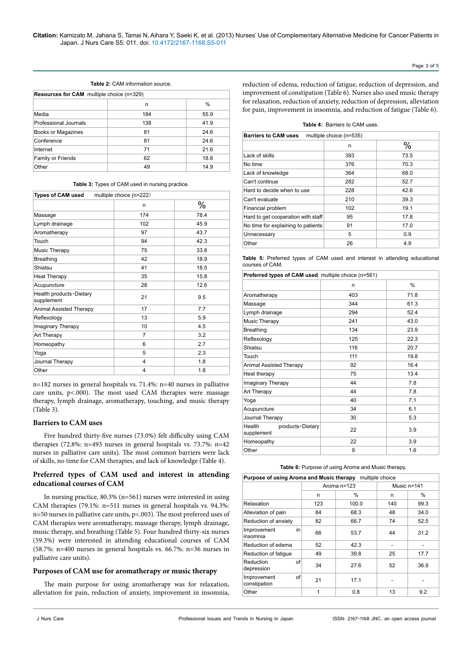## Page 3 of 5

#### **Table 2:** CAM information source.

| <b>Resources for CAM</b> multiple choice (n=329) |     |      |  |
|--------------------------------------------------|-----|------|--|
|                                                  | n   | %    |  |
| Media                                            | 184 | 55.9 |  |
| Professional Journals                            | 138 | 41.9 |  |
| Books or Magazines                               | 81  | 24.6 |  |
| Conference                                       | 81  | 24.6 |  |
| Internet                                         | 71  | 21.6 |  |
| Family or Friends                                | 62  | 18.8 |  |
| Other                                            | 49  | 14.9 |  |

**Table 3:** Types of CAM used in nursing practice.

| Types of CAM used<br>multiple choice (n=222) |                |      |  |
|----------------------------------------------|----------------|------|--|
|                                              | n              | $\%$ |  |
| Massage                                      | 174            | 78.4 |  |
| Lymph drainage                               | 102            | 45.9 |  |
| Aromatherapy                                 | 97             | 43.7 |  |
| Touch                                        | 94             | 42.3 |  |
| Music Therapy                                | 75             | 33.8 |  |
| <b>Breathing</b>                             | 42             | 18.9 |  |
| Shiatsu                                      | 41             | 18.5 |  |
| <b>Heat Therapy</b>                          | 35             | 15.8 |  |
| Acupuncture                                  | 28             | 12.6 |  |
| Health products · Dietary<br>supplement      | 21             | 9.5  |  |
| Animal Assisted Therapy                      | 17             | 7.7  |  |
| Reflexology                                  | 13             | 5.9  |  |
| Imaginary Therapy                            | 10             | 4.5  |  |
| Art Therapy                                  | 7              | 3.2  |  |
| Homeopathy                                   | 6              | 2.7  |  |
| Yoga                                         | 5              | 2.3  |  |
| Journal Therapy                              | $\overline{4}$ | 1.8  |  |
| Other                                        | 4              | 1.8  |  |

n=182 nurses in general hospitals vs. 71.4%: n=40 nurses in palliative care units, p<.000). The most used CAM therapies were massage therapy, lymph drainage, aromatherapy, touching, and music therapy (Table 3).

# **Barriers to CAM uses**

Five hundred thirty-five nurses (73.0%) felt difficulty using CAM therapies (72.8%: n=493 nurses in general hospitals vs. 73.7%: n=42 nurses in palliative care units). The most common barriers were lack of skills, no time for CAM therapies, and lack of knowledge (Table 4).

# **Preferred types of CAM used and interest in attending educational courses of CAM**

In nursing practice, 80.3% (n=561) nurses were interested in using CAM therapies (79.1%: n=511 nurses in general hospitals vs. 94.3%: n=50 nurses in palliative care units, p<.003). The most preferred uses of CAM therapies were aromatherapy, massage therapy, lymph drainage, music therapy, and breathing (Table 5). Four hundred thirty-six nurses (59.3%) were interested in attending educational courses of CAM (58.7%: n=400 nurses in general hospitals vs. 66.7%: n=36 nurses in palliative care units).

## **Purposes of CAM use for aromatherapy or music therapy**

The main purpose for using aromatherapy was for relaxation, alleviation for pain, reduction of anxiety, improvement in insomnia, reduction of edema, reduction of fatigue, reduction of depression, and improvement of constipation (Table 6). Nurses also used music therapy for relaxation, reduction of anxiety, reduction of depression, alleviation for pain, improvement in insomnia, and reduction of fatigue (Table 6).

| <b>Barriers to CAM uses</b><br>multiple choice (n=535) |     |      |  |
|--------------------------------------------------------|-----|------|--|
|                                                        | n   | %    |  |
| Lack of skills                                         | 393 | 73.5 |  |
| No time                                                | 376 | 70.3 |  |
| Lack of knowledge                                      | 364 | 68.0 |  |
| Can't continue                                         | 282 | 52.7 |  |
| Hard to decide when to use                             | 228 | 42.6 |  |
| Can't evaluate                                         | 210 | 39.3 |  |
| Financial problem                                      | 102 | 19.1 |  |
| Hard to get cooperation with staff                     | 95  | 17.8 |  |
| No time for explaining to patients                     | 91  | 17.0 |  |
| Unnecessary                                            | 5   | 0.9  |  |
| Other                                                  | 26  | 4.9  |  |

**Table 5:** Preferred types of CAM used and interest in attending educational courses of CAM.

**Preferred types of CAM used** multiple choice (n=561)

|                                          | n   | %    |
|------------------------------------------|-----|------|
| Aromatherapy                             | 403 | 71.8 |
| Massage                                  | 344 | 61.3 |
| Lymph drainage                           | 294 | 52.4 |
| <b>Music Therapy</b>                     | 241 | 43.0 |
| <b>Breathing</b>                         | 134 | 23.9 |
| Reflexology                              | 125 | 22.3 |
| Shiatsu                                  | 116 | 20.7 |
| Touch                                    | 111 | 19.8 |
| Animal Assisted Therapy                  | 92  | 16.4 |
| Heat therapy                             | 75  | 13.4 |
| Imaginary Therapy                        | 44  | 7.8  |
| Art Therapy                              | 44  | 7.8  |
| Yoga                                     | 40  | 7.1  |
| Acupuncture                              | 34  | 6.1  |
| Journal Therapy                          | 30  | 5.3  |
| Health<br>products Dietary<br>supplement | 22  | 3.9  |
| Homeopathy                               | 22  | 3.9  |
| Other                                    | 9   | 1.6  |

#### **Table 6:** Purpose of using Aroma and Music therapy.

| Purpose of using Aroma and Music therapy<br>multiple choice |               |       |               |      |
|-------------------------------------------------------------|---------------|-------|---------------|------|
|                                                             | Aroma $n=123$ |       | Music $n=141$ |      |
|                                                             | n             | $\%$  | n             | $\%$ |
| Relaxation                                                  | 123           | 100.0 | 140           | 99.3 |
| Alleviation of pain                                         | 84            | 68.3  | 48            | 34.0 |
| Reduction of anxiety                                        | 82            | 66.7  | 74            | 52.5 |
| Improvement<br>in<br>insomnia                               | 66            | 53.7  | 44            | 31.2 |
| Reduction of edema                                          | 52            | 42.3  |               |      |
| Reduction of fatique                                        | 49            | 39.8  | 25            | 17.7 |
| Reduction<br>οf<br>depression                               | 34            | 27.6  | 52            | 36.9 |
| οf<br>Improvement<br>constipation                           | 21            | 17.1  |               |      |
| Other                                                       | 1             | 0.8   | 13            | 9.2  |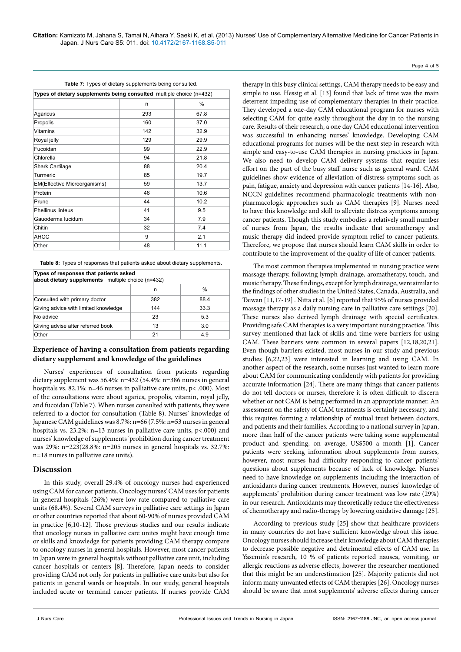| <b>Table 1.</b> Types of alcially supplements being consulted.       |      |  |  |
|----------------------------------------------------------------------|------|--|--|
| Types of dietary supplements being consulted multiple choice (n=432) |      |  |  |
| n                                                                    | %    |  |  |
| 293                                                                  | 67.8 |  |  |
| 160                                                                  | 37.0 |  |  |
| 142                                                                  | 32.9 |  |  |
| 129                                                                  | 29.9 |  |  |
| 99                                                                   | 22.9 |  |  |
| 94                                                                   | 21.8 |  |  |
| 88                                                                   | 20.4 |  |  |
| 85                                                                   | 19.7 |  |  |
| 59                                                                   | 13.7 |  |  |
| 46                                                                   | 10.6 |  |  |
| 44                                                                   | 10.2 |  |  |
| 41                                                                   | 9.5  |  |  |
| 34                                                                   | 7.9  |  |  |
| 32                                                                   | 7.4  |  |  |
| 9                                                                    | 2.1  |  |  |
| 48                                                                   | 11.1 |  |  |
|                                                                      |      |  |  |

**Table 7:** Types of dietary supplements being consulted.

**Table 8:** Types of responses that patients asked about dietary supplements.

| Types of responses that patients asked<br>about dietary supplements multiple choice (n=432) |     |      |  |
|---------------------------------------------------------------------------------------------|-----|------|--|
|                                                                                             | n   | %    |  |
| Consulted with primary doctor                                                               | 382 | 88.4 |  |
| Giving advice with limited knowledge                                                        | 144 | 33.3 |  |
| No advice                                                                                   | 23  | 5.3  |  |
| Giving advise after referred book                                                           | 13  | 3.0  |  |
| Other                                                                                       | 21  | 4.9  |  |

# **Experience of having a consultation from patients regarding dietary supplement and knowledge of the guidelines**

Nurses' experiences of consultation from patients regarding dietary supplement was 56.4%: n=432 (54.4%: n=386 nurses in general hospitals vs. 82.1%: n=46 nurses in palliative care units, p< .000). Most of the consultations were about agarics, propolis, vitamin, royal jelly, and fucoidan (Table 7). When nurses consulted with patients, they were referred to a doctor for consultation (Table 8). Nurses' knowledge of Japanese CAM guidelines was 8.7%: n=66 (7.5%: n=53 nurses in general hospitals vs. 23.2%: n=13 nurses in palliative care units, p<.000) and nurses' knowledge of supplements 'prohibition during cancer treatment was 29%: n=223(28.8%: n=205 nurses in general hospitals vs. 32.7%: n=18 nurses in palliative care units).

# **Discussion**

In this study, overall 29.4% of oncology nurses had experienced using CAM for cancer patients. Oncology nurses' CAM uses for patients in general hospitals (26%) were low rate compared to palliative care units (68.4%). Several CAM surveys in palliative care settings in Japan or other countries reported that about 60-90% of nurses provided CAM in practice [6,10-12]. Those previous studies and our results indicate that oncology nurses in palliative care unites might have enough time or skills and knowledge for patients providing CAM therapy compare to oncology nurses in general hospitals. However, most cancer patients in Japan were in general hospitals without palliative care unit, including cancer hospitals or centers [8]. Therefore, Japan needs to consider providing CAM not only for patients in palliative care units but also for patients in general wards or hospitals. In our study, general hospitals included acute or terminal cancer patients. If nurses provide CAM

therapy in this busy clinical settings, CAM therapy needs to be easy and simple to use. Hessig et al. [13] found that lack of time was the main deterrent impeding use of complementary therapies in their practice. They developed a one-day CAM educational program for nurses with selecting CAM for quite easily throughout the day in to the nursing care. Results of their research, a one day CAM educational intervention was successful in enhancing nurses' knowledge. Developing CAM educational programs for nurses will be the next step in research with simple and easy-to-use CAM therapies in nursing practices in Japan. We also need to develop CAM delivery systems that require less effort on the part of the busy staff nurse such as general ward. CAM guidelines show evidence of alleviation of distress symptoms such as pain, fatigue, anxiety and depression with cancer patients [14-16]. Also, NCCN guidelines recommend pharmacologic treatments with nonpharmacologic approaches such as CAM therapies [9]. Nurses need to have this knowledge and skill to alleviate distress symptoms among cancer patients. Though this study embodies a relatively small number of nurses from Japan, the results indicate that aromatherapy and music therapy did indeed provide symptom relief to cancer patients. Therefore, we propose that nurses should learn CAM skills in order to contribute to the improvement of the quality of life of cancer patients.

The most common therapies implemented in nursing practice were massage therapy, following lymph drainage, aromatherapy, touch, and music therapy. These findings, except for lymph drainage, were similar to the findings of other studies in the United States, Canada, Australia, and Taiwan [11,17-19] . Nitta et al. [6] reported that 95% of nurses provided massage therapy as a daily nursing care in palliative care settings [20]. These nurses also derived lymph drainage with special certificates. Providing safe CAM therapies is a very important nursing practice. This survey mentioned that lack of skills and time were barriers for using CAM. These barriers were common in several papers [12,18,20,21]. Even though barriers existed, most nurses in our study and previous studies [6,22,23] were interested in learning and using CAM. In another aspect of the research, some nurses just wanted to learn more about CAM for communicating confidently with patients for providing accurate information [24]. There are many things that cancer patients do not tell doctors or nurses, therefore it is often difficult to discern whether or not CAM is being performed in an appropriate manner. An assessment on the safety of CAM treatments is certainly necessary, and this requires forming a relationship of mutual trust between doctors, and patients and their families. According to a national survey in Japan, more than half of the cancer patients were taking some supplemental product and spending, on average, US\$500 a month [1]. Cancer patients were seeking information about supplements from nurses, however, most nurses had difficulty responding to cancer patients' questions about supplements because of lack of knowledge. Nurses need to have knowledge on supplements including the interaction of antioxidants during cancer treatments. However, nurses' knowledge of supplements' prohibition during cancer treatment was low rate (29%) in our research. Antioxidants may theoretically reduce the effectiveness of chemotherapy and radio-therapy by lowering oxidative damage [25].

According to previous study [25] show that healthcare providers in many countries do not have sufficient knowledge about this issue. Oncology nurses should increase their knowledge about CAM therapies to decrease possible negative and detrimental effects of CAM use. In Yasemin's research, 10 % of patients reported nausea, vomiting, or allergic reactions as adverse effects, however the researcher mentioned that this might be an underestimation [25]. Majority patients did not inform many unwanted effects of CAM therapies [26]. Oncology nurses should be aware that most supplements' adverse effects during cancer